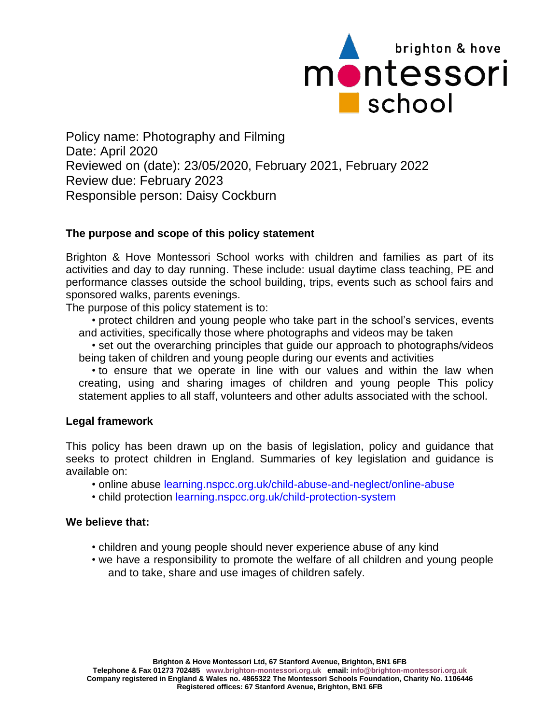

Policy name: Photography and Filming Date: April 2020 Reviewed on (date): 23/05/2020, February 2021, February 2022 Review due: February 2023 Responsible person: Daisy Cockburn

### **The purpose and scope of this policy statement**

Brighton & Hove Montessori School works with children and families as part of its activities and day to day running. These include: usual daytime class teaching, PE and performance classes outside the school building, trips, events such as school fairs and sponsored walks, parents evenings.

The purpose of this policy statement is to:

• protect children and young people who take part in the school's services, events and activities, specifically those where photographs and videos may be taken

• set out the overarching principles that guide our approach to photographs/videos being taken of children and young people during our events and activities

• to ensure that we operate in line with our values and within the law when creating, using and sharing images of children and young people This policy statement applies to all staff, volunteers and other adults associated with the school.

### **Legal framework**

This policy has been drawn up on the basis of legislation, policy and guidance that seeks to protect children in England. Summaries of key legislation and guidance is available on:

- online abuse learning.nspcc.org.uk/child-abuse-and-neglect/online-abuse
- child protection learning.nspcc.org.uk/child-protection-system

#### **We believe that:**

- children and young people should never experience abuse of any kind
- we have a responsibility to promote the welfare of all children and young people and to take, share and use images of children safely.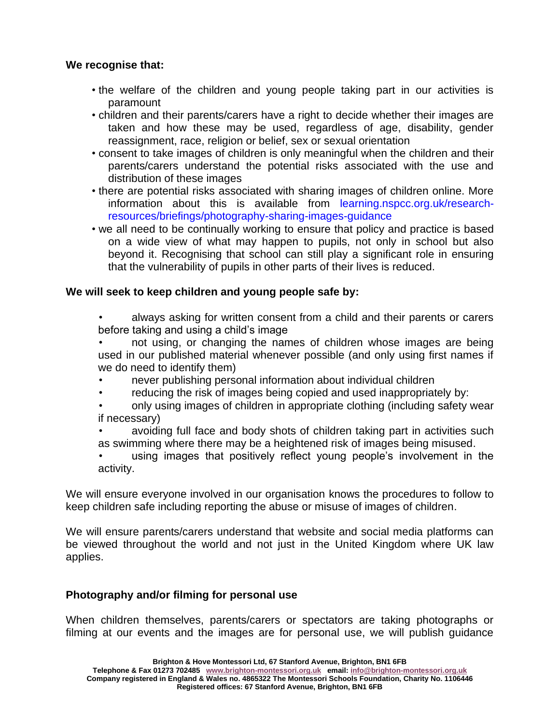### **We recognise that:**

- the welfare of the children and young people taking part in our activities is paramount
- children and their parents/carers have a right to decide whether their images are taken and how these may be used, regardless of age, disability, gender reassignment, race, religion or belief, sex or sexual orientation
- consent to take images of children is only meaningful when the children and their parents/carers understand the potential risks associated with the use and distribution of these images
- there are potential risks associated with sharing images of children online. More information about this is available from learning.nspcc.org.uk/researchresources/briefings/photography-sharing-images-guidance
- we all need to be continually working to ensure that policy and practice is based on a wide view of what may happen to pupils, not only in school but also beyond it. Recognising that school can still play a significant role in ensuring that the vulnerability of pupils in other parts of their lives is reduced.

### **We will seek to keep children and young people safe by:**

- always asking for written consent from a child and their parents or carers before taking and using a child's image
- not using, or changing the names of children whose images are being used in our published material whenever possible (and only using first names if we do need to identify them)
- never publishing personal information about individual children
- reducing the risk of images being copied and used inappropriately by:
- only using images of children in appropriate clothing (including safety wear if necessary)
- avoiding full face and body shots of children taking part in activities such as swimming where there may be a heightened risk of images being misused.
- using images that positively reflect young people's involvement in the activity.

We will ensure everyone involved in our organisation knows the procedures to follow to keep children safe including reporting the abuse or misuse of images of children.

We will ensure parents/carers understand that website and social media platforms can be viewed throughout the world and not just in the United Kingdom where UK law applies.

### **Photography and/or filming for personal use**

When children themselves, parents/carers or spectators are taking photographs or filming at our events and the images are for personal use, we will publish guidance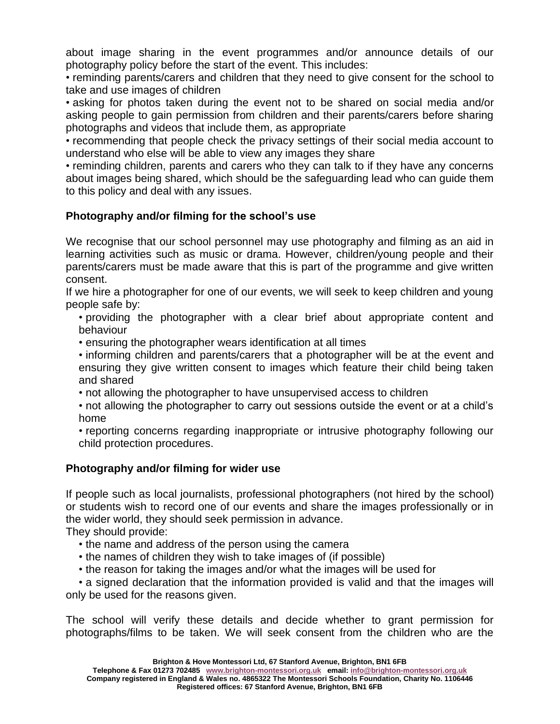about image sharing in the event programmes and/or announce details of our photography policy before the start of the event. This includes:

• reminding parents/carers and children that they need to give consent for the school to take and use images of children

• asking for photos taken during the event not to be shared on social media and/or asking people to gain permission from children and their parents/carers before sharing photographs and videos that include them, as appropriate

• recommending that people check the privacy settings of their social media account to understand who else will be able to view any images they share

• reminding children, parents and carers who they can talk to if they have any concerns about images being shared, which should be the safeguarding lead who can guide them to this policy and deal with any issues.

# **Photography and/or filming for the school's use**

We recognise that our school personnel may use photography and filming as an aid in learning activities such as music or drama. However, children/young people and their parents/carers must be made aware that this is part of the programme and give written consent.

If we hire a photographer for one of our events, we will seek to keep children and young people safe by:

• providing the photographer with a clear brief about appropriate content and behaviour

• ensuring the photographer wears identification at all times

• informing children and parents/carers that a photographer will be at the event and ensuring they give written consent to images which feature their child being taken and shared

• not allowing the photographer to have unsupervised access to children

• not allowing the photographer to carry out sessions outside the event or at a child's home

• reporting concerns regarding inappropriate or intrusive photography following our child protection procedures.

# **Photography and/or filming for wider use**

If people such as local journalists, professional photographers (not hired by the school) or students wish to record one of our events and share the images professionally or in the wider world, they should seek permission in advance.

They should provide:

- the name and address of the person using the camera
- the names of children they wish to take images of (if possible)
- the reason for taking the images and/or what the images will be used for

• a signed declaration that the information provided is valid and that the images will only be used for the reasons given.

The school will verify these details and decide whether to grant permission for photographs/films to be taken. We will seek consent from the children who are the